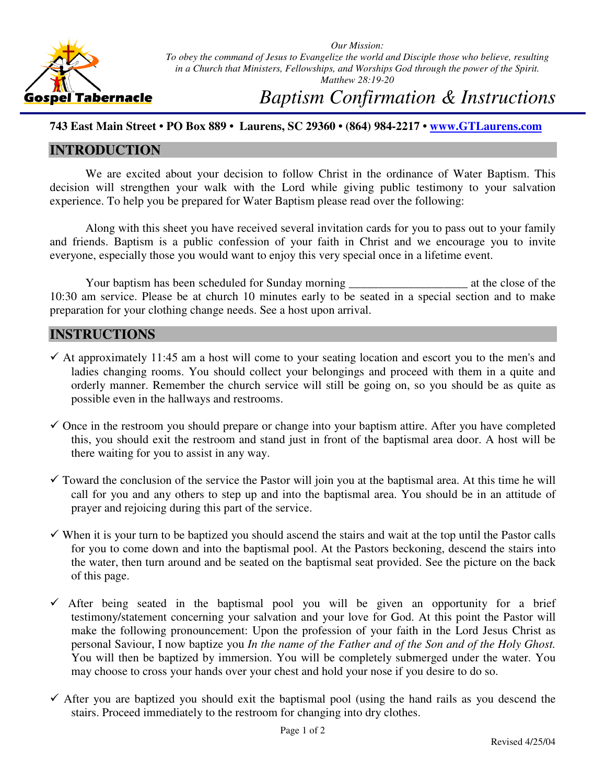

*Our Mission: To obey the command of Jesus to Evangelize the world and Disciple those who believe, resulting in a Church that Ministers, Fellowships, and Worships God through the power of the Spirit. Matthew 28:19-20*

# *Baptism Confirmation & Instructions*

### **743 East Main Street • PO Box 889 • Laurens, SC 29360 • (864) 984-2217 • www.GTLaurens.com**

### **INTRODUCTION**

We are excited about your decision to follow Christ in the ordinance of Water Baptism. This decision will strengthen your walk with the Lord while giving public testimony to your salvation experience. To help you be prepared for Water Baptism please read over the following:

Along with this sheet you have received several invitation cards for you to pass out to your family and friends. Baptism is a public confession of your faith in Christ and we encourage you to invite everyone, especially those you would want to enjoy this very special once in a lifetime event.

Your baptism has been scheduled for Sunday morning \_\_\_\_\_\_\_\_\_\_\_\_\_\_\_\_\_\_\_\_ at the close of the 10:30 am service. Please be at church 10 minutes early to be seated in a special section and to make preparation for your clothing change needs. See a host upon arrival.

### **INSTRUCTIONS**

- $\checkmark$  At approximately 11:45 am a host will come to your seating location and escort you to the men's and ladies changing rooms. You should collect your belongings and proceed with them in a quite and orderly manner. Remember the church service will still be going on, so you should be as quite as possible even in the hallways and restrooms.
- $\checkmark$  Once in the restroom you should prepare or change into your baptism attire. After you have completed this, you should exit the restroom and stand just in front of the baptismal area door. A host will be there waiting for you to assist in any way.
- $\checkmark$  Toward the conclusion of the service the Pastor will join you at the baptismal area. At this time he will call for you and any others to step up and into the baptismal area. You should be in an attitude of prayer and rejoicing during this part of the service.
- $\checkmark$  When it is your turn to be baptized you should ascend the stairs and wait at the top until the Pastor calls for you to come down and into the baptismal pool. At the Pastors beckoning, descend the stairs into the water, then turn around and be seated on the baptismal seat provided. See the picture on the back of this page.
- $\checkmark$  After being seated in the baptismal pool you will be given an opportunity for a brief testimony/statement concerning your salvation and your love for God. At this point the Pastor will make the following pronouncement: Upon the profession of your faith in the Lord Jesus Christ as personal Saviour, I now baptize you *In the name of the Father and of the Son and of the Holy Ghost.*  You will then be baptized by immersion. You will be completely submerged under the water. You may choose to cross your hands over your chest and hold your nose if you desire to do so.
- $\checkmark$  After you are baptized you should exit the baptismal pool (using the hand rails as you descend the stairs. Proceed immediately to the restroom for changing into dry clothes.